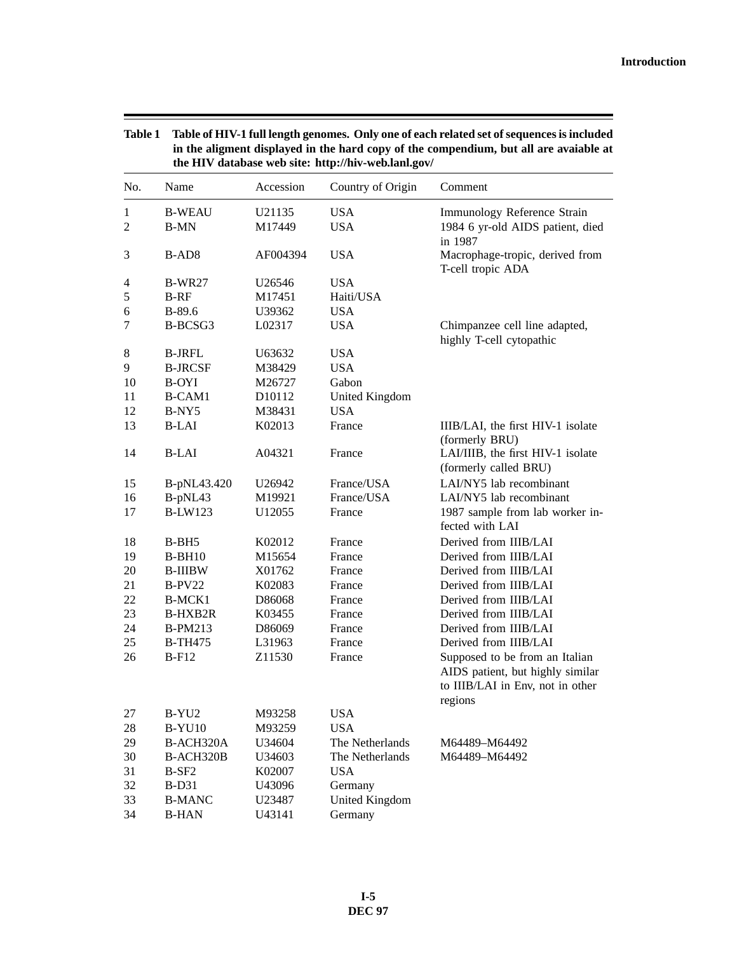| No.            | Name              | Accession          | the HIV database web site: http://hiv-web.lanl.gov/<br>Country of Origin | Comment                                                   |
|----------------|-------------------|--------------------|--------------------------------------------------------------------------|-----------------------------------------------------------|
| 1              | <b>B-WEAU</b>     | U21135             | <b>USA</b>                                                               | Immunology Reference Strain                               |
| $\overline{c}$ | <b>B-MN</b>       | M17449             | <b>USA</b>                                                               | 1984 6 yr-old AIDS patient, died                          |
|                |                   |                    |                                                                          | in 1987                                                   |
| 3              | B-AD <sub>8</sub> | AF004394           | <b>USA</b>                                                               | Macrophage-tropic, derived from<br>T-cell tropic ADA      |
| 4              | <b>B-WR27</b>     | U26546             | <b>USA</b>                                                               |                                                           |
| 5              | $B-RF$            | M17451             | Haiti/USA                                                                |                                                           |
| 6              | $B-89.6$          | U39362             | <b>USA</b>                                                               |                                                           |
| 7              | B-BCSG3           | L02317             | <b>USA</b>                                                               | Chimpanzee cell line adapted,<br>highly T-cell cytopathic |
| 8              | <b>B-JRFL</b>     | U63632             | <b>USA</b>                                                               |                                                           |
| 9              | <b>B-JRCSF</b>    | M38429             | <b>USA</b>                                                               |                                                           |
| 10             | <b>B-OYI</b>      | M26727             | Gabon                                                                    |                                                           |
| 11             | B-CAM1            | D <sub>10112</sub> | <b>United Kingdom</b>                                                    |                                                           |
| 12             | B-NY5             | M38431             | <b>USA</b>                                                               |                                                           |
| 13             | B-LAI             | K02013             | France                                                                   | IIIB/LAI, the first HIV-1 isolate                         |
|                |                   |                    |                                                                          | (formerly BRU)                                            |
| 14             | <b>B-LAI</b>      | A04321             | France                                                                   | LAI/IIIB, the first HIV-1 isolate                         |
|                |                   |                    |                                                                          | (formerly called BRU)                                     |
| 15             | B-pNL43.420       | U26942             | France/USA                                                               | LAI/NY5 lab recombinant                                   |
| 16             | B-pNL43           | M19921             | France/USA                                                               | LAI/NY5 lab recombinant                                   |
| 17             | <b>B-LW123</b>    | U12055             | France                                                                   | 1987 sample from lab worker in-                           |
|                |                   |                    |                                                                          | fected with LAI                                           |
| 18             | B-BH5             | K02012             | France                                                                   | Derived from IIIB/LAI                                     |
| 19             | $B-BH10$          | M15654             | France                                                                   | Derived from IIIB/LAI                                     |
| 20             | <b>B-IIIBW</b>    | X01762             | France                                                                   | Derived from IIIB/LAI                                     |
| 21             | $B-PV22$          | K02083             | France                                                                   | Derived from IIIB/LAI                                     |
| 22             | B-MCK1            | D86068             | France                                                                   | Derived from IIIB/LAI                                     |
| 23             | B-HXB2R           | K03455             | France                                                                   | Derived from IIIB/LAI                                     |
| 24             | <b>B-PM213</b>    | D86069             | France                                                                   | Derived from IIIB/LAI                                     |
| 25             | <b>B-TH475</b>    | L31963             | France                                                                   | Derived from IIIB/LAI                                     |
| 26             | $B-F12$           | Z11530             | France                                                                   | Supposed to be from an Italian                            |
|                |                   |                    |                                                                          | AIDS patient, but highly similar                          |
|                |                   |                    |                                                                          | to IIIB/LAI in Env, not in other                          |
| 27             | B-YU <sub>2</sub> | M93258             | <b>USA</b>                                                               | regions                                                   |
| 28             | <b>B-YU10</b>     | M93259             | <b>USA</b>                                                               |                                                           |
| 29             | B-ACH320A         | U34604             | The Netherlands                                                          | M64489-M64492                                             |
| 30             | B-ACH320B         | U34603             | The Netherlands                                                          | M64489-M64492                                             |
| 31             | $B-SF2$           | K02007             | <b>USA</b>                                                               |                                                           |
| 32             | $B-D31$           | U43096             | Germany                                                                  |                                                           |
| 33             | <b>B-MANC</b>     | U23487             | <b>United Kingdom</b>                                                    |                                                           |
| 34             | <b>B-HAN</b>      | U43141             | Germany                                                                  |                                                           |

**Table 1 Table of HIV-1 full length genomes. Only one of each related set of sequences is included in the aligment displayed in the hard copy of the compendium, but all are avaiable at**